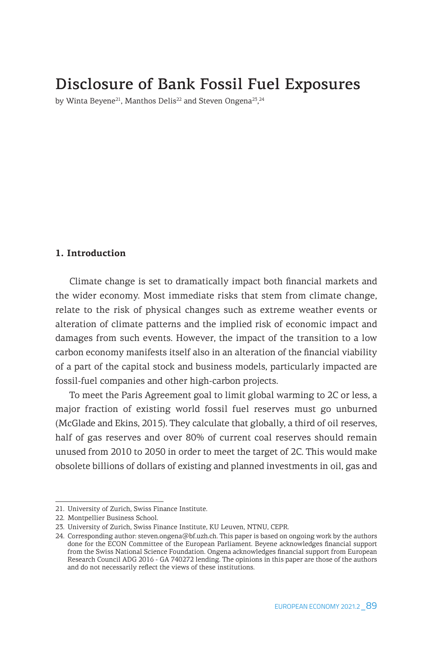# Disclosure of Bank Fossil Fuel Exposures

by Winta Beyene $^{21}$ , Manthos Delis $^{22}$  and Steven Ongena $^{23}$ , $^{24}$ 

### **1. Introduction**

Climate change is set to dramatically impact both financial markets and the wider economy. Most immediate risks that stem from climate change, relate to the risk of physical changes such as extreme weather events or alteration of climate patterns and the implied risk of economic impact and damages from such events. However, the impact of the transition to a low carbon economy manifests itself also in an alteration of the financial viability of a part of the capital stock and business models, particularly impacted are fossil-fuel companies and other high-carbon projects.

To meet the Paris Agreement goal to limit global warming to 2C or less, a major fraction of existing world fossil fuel reserves must go unburned (McGlade and Ekins, 2015). They calculate that globally, a third of oil reserves, half of gas reserves and over 80% of current coal reserves should remain unused from 2010 to 2050 in order to meet the target of 2C. This would make obsolete billions of dollars of existing and planned investments in oil, gas and

<sup>21.</sup> University of Zurich, Swiss Finance Institute.

<sup>22.</sup> Montpellier Business School.

<sup>23.</sup> University of Zurich, Swiss Finance Institute, KU Leuven, NTNU, CEPR.

<sup>24.</sup> Corresponding author: steven.ongena@bf.uzh.ch. This paper is based on ongoing work by the authors done for the ECON Committee of the European Parliament. Beyene acknowledges financial support from the Swiss National Science Foundation. Ongena acknowledges financial support from European Research Council ADG 2016 - GA 740272 lending. The opinions in this paper are those of the authors and do not necessarily reflect the views of these institutions.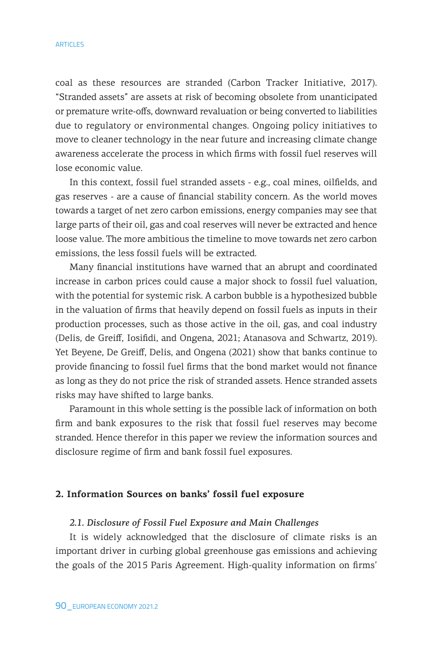coal as these resources are stranded (Carbon Tracker Initiative, 2017). "Stranded assets" are assets at risk of becoming obsolete from unanticipated or premature write-offs, downward revaluation or being converted to liabilities due to regulatory or environmental changes. Ongoing policy initiatives to move to cleaner technology in the near future and increasing climate change awareness accelerate the process in which firms with fossil fuel reserves will lose economic value.

In this context, fossil fuel stranded assets - e.g., coal mines, oilfields, and gas reserves - are a cause of financial stability concern. As the world moves towards a target of net zero carbon emissions, energy companies may see that large parts of their oil, gas and coal reserves will never be extracted and hence loose value. The more ambitious the timeline to move towards net zero carbon emissions, the less fossil fuels will be extracted.

Many financial institutions have warned that an abrupt and coordinated increase in carbon prices could cause a major shock to fossil fuel valuation, with the potential for systemic risk. A carbon bubble is a hypothesized bubble in the valuation of firms that heavily depend on fossil fuels as inputs in their production processes, such as those active in the oil, gas, and coal industry (Delis, de Greiff, Iosifidi, and Ongena, 2021; Atanasova and Schwartz, 2019). Yet Beyene, De Greiff, Delis, and Ongena (2021) show that banks continue to provide financing to fossil fuel firms that the bond market would not finance as long as they do not price the risk of stranded assets. Hence stranded assets risks may have shifted to large banks.

Paramount in this whole setting is the possible lack of information on both firm and bank exposures to the risk that fossil fuel reserves may become stranded. Hence therefor in this paper we review the information sources and disclosure regime of firm and bank fossil fuel exposures.

### **2. Information Sources on banks' fossil fuel exposure**

### *2.1. Disclosure of Fossil Fuel Exposure and Main Challenges*

It is widely acknowledged that the disclosure of climate risks is an important driver in curbing global greenhouse gas emissions and achieving the goals of the 2015 Paris Agreement. High-quality information on firms'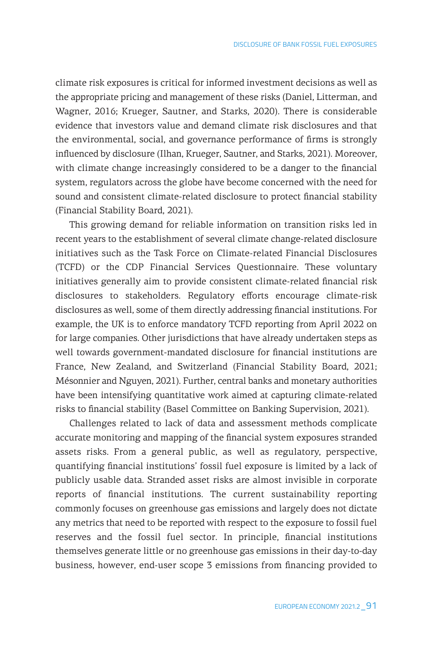climate risk exposures is critical for informed investment decisions as well as the appropriate pricing and management of these risks (Daniel, Litterman, and Wagner, 2016; Krueger, Sautner, and Starks, 2020). There is considerable evidence that investors value and demand climate risk disclosures and that the environmental, social, and governance performance of firms is strongly influenced by disclosure (Ilhan, Krueger, Sautner, and Starks, 2021). Moreover, with climate change increasingly considered to be a danger to the financial system, regulators across the globe have become concerned with the need for sound and consistent climate-related disclosure to protect financial stability (Financial Stability Board, 2021).

This growing demand for reliable information on transition risks led in recent years to the establishment of several climate change-related disclosure initiatives such as the Task Force on Climate-related Financial Disclosures (TCFD) or the CDP Financial Services Questionnaire. These voluntary initiatives generally aim to provide consistent climate-related financial risk disclosures to stakeholders. Regulatory efforts encourage climate-risk disclosures as well, some of them directly addressing financial institutions. For example, the UK is to enforce mandatory TCFD reporting from April 2022 on for large companies. Other jurisdictions that have already undertaken steps as well towards government-mandated disclosure for financial institutions are France, New Zealand, and Switzerland (Financial Stability Board, 2021; Mésonnier and Nguyen, 2021). Further, central banks and monetary authorities have been intensifying quantitative work aimed at capturing climate-related risks to financial stability (Basel Committee on Banking Supervision, 2021).

Challenges related to lack of data and assessment methods complicate accurate monitoring and mapping of the financial system exposures stranded assets risks. From a general public, as well as regulatory, perspective, quantifying financial institutions' fossil fuel exposure is limited by a lack of publicly usable data. Stranded asset risks are almost invisible in corporate reports of financial institutions. The current sustainability reporting commonly focuses on greenhouse gas emissions and largely does not dictate any metrics that need to be reported with respect to the exposure to fossil fuel reserves and the fossil fuel sector. In principle, financial institutions themselves generate little or no greenhouse gas emissions in their day-to-day business, however, end-user scope 3 emissions from financing provided to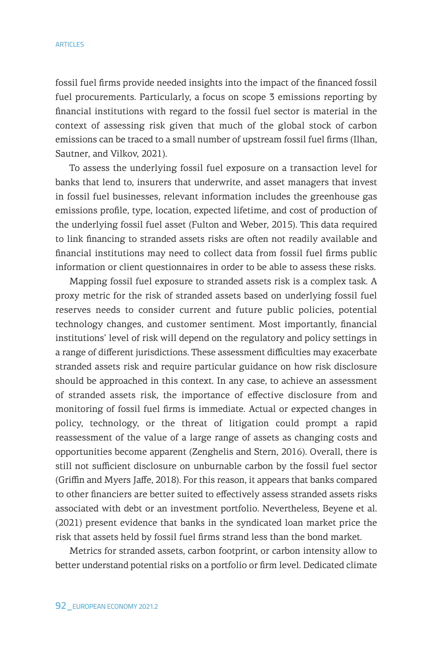fossil fuel firms provide needed insights into the impact of the financed fossil fuel procurements. Particularly, a focus on scope 3 emissions reporting by financial institutions with regard to the fossil fuel sector is material in the context of assessing risk given that much of the global stock of carbon emissions can be traced to a small number of upstream fossil fuel firms (Ilhan, Sautner, and Vilkov, 2021).

To assess the underlying fossil fuel exposure on a transaction level for banks that lend to, insurers that underwrite, and asset managers that invest in fossil fuel businesses, relevant information includes the greenhouse gas emissions profile, type, location, expected lifetime, and cost of production of the underlying fossil fuel asset (Fulton and Weber, 2015). This data required to link financing to stranded assets risks are often not readily available and financial institutions may need to collect data from fossil fuel firms public information or client questionnaires in order to be able to assess these risks.

Mapping fossil fuel exposure to stranded assets risk is a complex task. A proxy metric for the risk of stranded assets based on underlying fossil fuel reserves needs to consider current and future public policies, potential technology changes, and customer sentiment. Most importantly, financial institutions' level of risk will depend on the regulatory and policy settings in a range of different jurisdictions. These assessment difficulties may exacerbate stranded assets risk and require particular guidance on how risk disclosure should be approached in this context. In any case, to achieve an assessment of stranded assets risk, the importance of effective disclosure from and monitoring of fossil fuel firms is immediate. Actual or expected changes in policy, technology, or the threat of litigation could prompt a rapid reassessment of the value of a large range of assets as changing costs and opportunities become apparent (Zenghelis and Stern, 2016). Overall, there is still not sufficient disclosure on unburnable carbon by the fossil fuel sector (Griffin and Myers Jaffe, 2018). For this reason, it appears that banks compared to other financiers are better suited to effectively assess stranded assets risks associated with debt or an investment portfolio. Nevertheless, Beyene et al. (2021) present evidence that banks in the syndicated loan market price the risk that assets held by fossil fuel firms strand less than the bond market.

Metrics for stranded assets, carbon footprint, or carbon intensity allow to better understand potential risks on a portfolio or firm level. Dedicated climate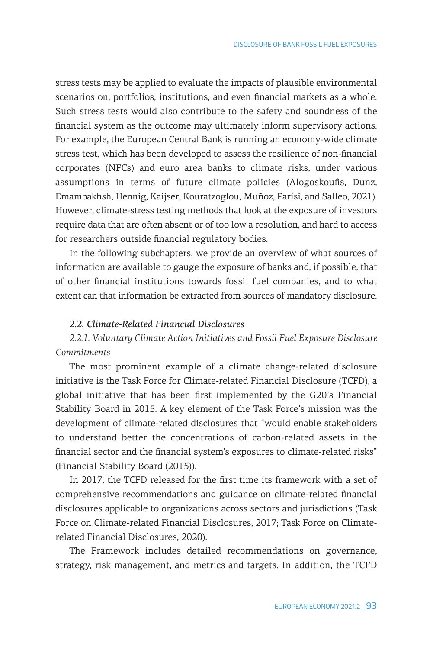stress tests may be applied to evaluate the impacts of plausible environmental scenarios on, portfolios, institutions, and even financial markets as a whole. Such stress tests would also contribute to the safety and soundness of the financial system as the outcome may ultimately inform supervisory actions. For example, the European Central Bank is running an economy-wide climate stress test, which has been developed to assess the resilience of non-financial corporates (NFCs) and euro area banks to climate risks, under various assumptions in terms of future climate policies (Alogoskoufis, Dunz, Emambakhsh, Hennig, Kaijser, Kouratzoglou, Muñoz, Parisi, and Salleo, 2021). However, climate-stress testing methods that look at the exposure of investors require data that are often absent or of too low a resolution, and hard to access for researchers outside financial regulatory bodies.

In the following subchapters, we provide an overview of what sources of information are available to gauge the exposure of banks and, if possible, that of other financial institutions towards fossil fuel companies, and to what extent can that information be extracted from sources of mandatory disclosure.

### *2.2. Climate-Related Financial Disclosures*

## *2.2.1. Voluntary Climate Action Initiatives and Fossil Fuel Exposure Disclosure Commitments*

The most prominent example of a climate change-related disclosure initiative is the Task Force for Climate-related Financial Disclosure (TCFD), a global initiative that has been first implemented by the G20's Financial Stability Board in 2015. A key element of the Task Force's mission was the development of climate-related disclosures that "would enable stakeholders to understand better the concentrations of carbon-related assets in the financial sector and the financial system's exposures to climate-related risks" (Financial Stability Board (2015)).

In 2017, the TCFD released for the first time its framework with a set of comprehensive recommendations and guidance on climate-related financial disclosures applicable to organizations across sectors and jurisdictions (Task Force on Climate-related Financial Disclosures, 2017; Task Force on Climaterelated Financial Disclosures, 2020).

The Framework includes detailed recommendations on governance, strategy, risk management, and metrics and targets. In addition, the TCFD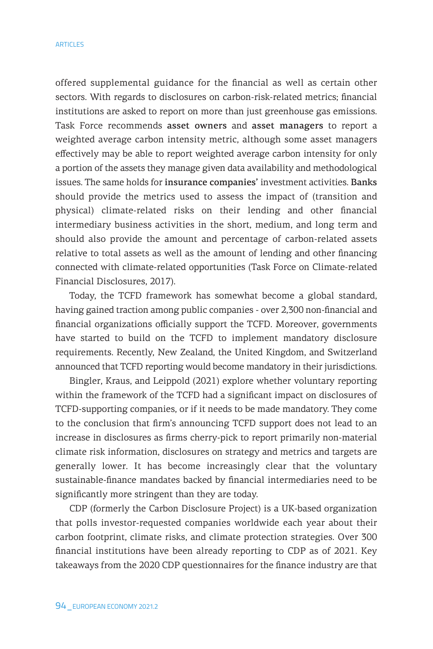offered supplemental guidance for the financial as well as certain other sectors. With regards to disclosures on carbon-risk-related metrics; financial institutions are asked to report on more than just greenhouse gas emissions. Task Force recommends asset owners and asset managers to report a weighted average carbon intensity metric, although some asset managers effectively may be able to report weighted average carbon intensity for only a portion of the assets they manage given data availability and methodological issues. The same holds for insurance companies' investment activities. Banks should provide the metrics used to assess the impact of (transition and physical) climate-related risks on their lending and other financial intermediary business activities in the short, medium, and long term and should also provide the amount and percentage of carbon-related assets relative to total assets as well as the amount of lending and other financing connected with climate-related opportunities (Task Force on Climate-related Financial Disclosures, 2017).

Today, the TCFD framework has somewhat become a global standard, having gained traction among public companies - over 2,300 non-financial and financial organizations officially support the TCFD. Moreover, governments have started to build on the TCFD to implement mandatory disclosure requirements. Recently, New Zealand, the United Kingdom, and Switzerland announced that TCFD reporting would become mandatory in their jurisdictions.

Bingler, Kraus, and Leippold (2021) explore whether voluntary reporting within the framework of the TCFD had a significant impact on disclosures of TCFD-supporting companies, or if it needs to be made mandatory. They come to the conclusion that firm's announcing TCFD support does not lead to an increase in disclosures as firms cherry-pick to report primarily non-material climate risk information, disclosures on strategy and metrics and targets are generally lower. It has become increasingly clear that the voluntary sustainable-finance mandates backed by financial intermediaries need to be significantly more stringent than they are today.

CDP (formerly the Carbon Disclosure Project) is a UK-based organization that polls investor-requested companies worldwide each year about their carbon footprint, climate risks, and climate protection strategies. Over 300 financial institutions have been already reporting to CDP as of 2021. Key takeaways from the 2020 CDP questionnaires for the finance industry are that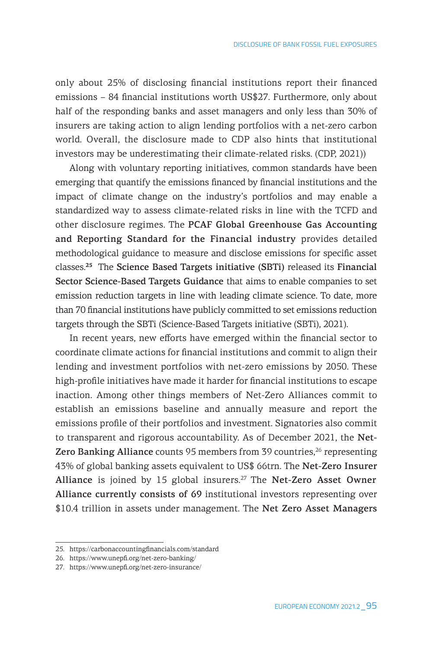only about 25% of disclosing financial institutions report their financed emissions – 84 financial institutions worth US\$27. Furthermore, only about half of the responding banks and asset managers and only less than 30% of insurers are taking action to align lending portfolios with a net-zero carbon world. Overall, the disclosure made to CDP also hints that institutional investors may be underestimating their climate-related risks. (CDP, 2021))

Along with voluntary reporting initiatives, common standards have been emerging that quantify the emissions financed by financial institutions and the impact of climate change on the industry's portfolios and may enable a standardized way to assess climate-related risks in line with the TCFD and other disclosure regimes. The PCAF Global Greenhouse Gas Accounting and Reporting Standard for the Financial industry provides detailed methodological guidance to measure and disclose emissions for specific asset classes.**<sup>25</sup>** The Science Based Targets initiative (SBTi) released its Financial Sector Science-Based Targets Guidance that aims to enable companies to set emission reduction targets in line with leading climate science. To date, more than 70 financial institutions have publicly committed to set emissions reduction targets through the SBTi (Science-Based Targets initiative (SBTi), 2021).

In recent years, new efforts have emerged within the financial sector to coordinate climate actions for financial institutions and commit to align their lending and investment portfolios with net-zero emissions by 2050. These high-profile initiatives have made it harder for financial institutions to escape inaction. Among other things members of Net-Zero Alliances commit to establish an emissions baseline and annually measure and report the emissions profile of their portfolios and investment. Signatories also commit to transparent and rigorous accountability. As of December 2021, the Net-Zero Banking Alliance counts 95 members from 39 countries, $26$  representing 43% of global banking assets equivalent to US\$ 66trn. The Net-Zero Insurer Alliance is joined by 15 global insurers.<sup>27</sup> The Net-Zero Asset Owner Alliance currently consists of 69 institutional investors representing over \$10.4 trillion in assets under management. The Net Zero Asset Managers

<sup>25.</sup> https://carbonaccountingfinancials.com/standard

<sup>26.</sup> https://www.unepfi.org/net-zero-banking/

<sup>27.</sup> https://www.unepfi.org/net-zero-insurance/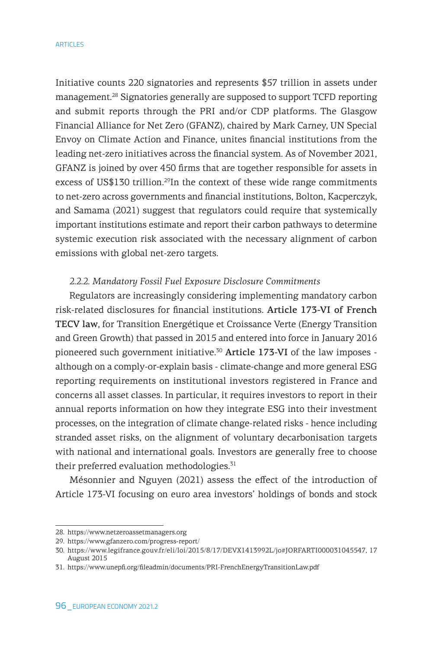Initiative counts 220 signatories and represents \$57 trillion in assets under management.28 Signatories generally are supposed to support TCFD reporting and submit reports through the PRI and/or CDP platforms. The Glasgow Financial Alliance for Net Zero (GFANZ), chaired by Mark Carney, UN Special Envoy on Climate Action and Finance, unites financial institutions from the leading net-zero initiatives across the financial system. As of November 2021, GFANZ is joined by over 450 firms that are together responsible for assets in excess of US\$130 trillion.<sup>29</sup>In the context of these wide range commitments to net-zero across governments and financial institutions, Bolton, Kacperczyk, and Samama (2021) suggest that regulators could require that systemically important institutions estimate and report their carbon pathways to determine systemic execution risk associated with the necessary alignment of carbon emissions with global net-zero targets.

### *2.2.2. Mandatory Fossil Fuel Exposure Disclosure Commitments*

Regulators are increasingly considering implementing mandatory carbon risk-related disclosures for financial institutions. Article 173-VI of French TECV law, for Transition Energétique et Croissance Verte (Energy Transition and Green Growth) that passed in 2015 and entered into force in January 2016 pioneered such government initiative.<sup>30</sup> Article 173-VI of the law imposes although on a comply-or-explain basis - climate-change and more general ESG reporting requirements on institutional investors registered in France and concerns all asset classes. In particular, it requires investors to report in their annual reports information on how they integrate ESG into their investment processes, on the integration of climate change-related risks - hence including stranded asset risks, on the alignment of voluntary decarbonisation targets with national and international goals. Investors are generally free to choose their preferred evaluation methodologies.<sup>31</sup>

Mésonnier and Nguyen (2021) assess the effect of the introduction of Article 173-VI focusing on euro area investors' holdings of bonds and stock

<sup>28.</sup> https://www.netzeroassetmanagers.org

<sup>29.</sup> https://www.gfanzero.com/progress-report/

<sup>30.</sup> https://www.legifrance.gouv.fr/eli/loi/2015/8/17/DEVX1413992L/jo#JORFARTI000031045547, 17 August 2015

<sup>31.</sup> https://www.unepfi.org/fileadmin/documents/PRI-FrenchEnergyTransitionLaw.pdf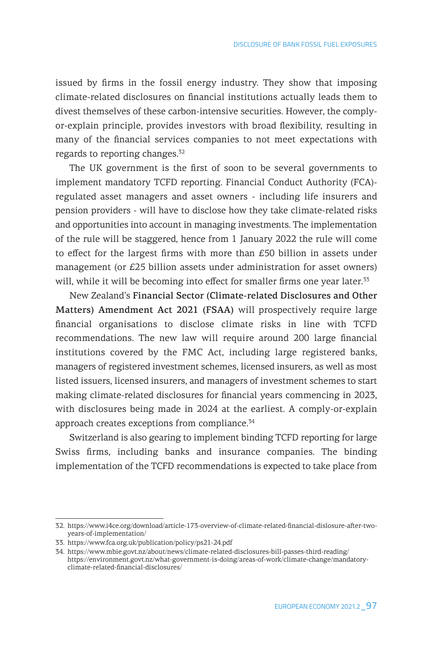issued by firms in the fossil energy industry. They show that imposing climate-related disclosures on financial institutions actually leads them to divest themselves of these carbon-intensive securities. However, the complyor-explain principle, provides investors with broad flexibility, resulting in many of the financial services companies to not meet expectations with regards to reporting changes.<sup>32</sup>

The UK government is the first of soon to be several governments to implement mandatory TCFD reporting. Financial Conduct Authority (FCA) regulated asset managers and asset owners - including life insurers and pension providers - will have to disclose how they take climate-related risks and opportunities into account in managing investments. The implementation of the rule will be staggered, hence from 1 January 2022 the rule will come to effect for the largest firms with more than £50 billion in assets under management (or £25 billion assets under administration for asset owners) will, while it will be becoming into effect for smaller firms one year later. 33

New Zealand's Financial Sector (Climate-related Disclosures and Other Matters) Amendment Act 2021 (FSAA) will prospectively require large financial organisations to disclose climate risks in line with TCFD recommendations. The new law will require around 200 large financial institutions covered by the FMC Act, including large registered banks, managers of registered investment schemes, licensed insurers, as well as most listed issuers, licensed insurers, and managers of investment schemes to start making climate-related disclosures for financial years commencing in 2023, with disclosures being made in 2024 at the earliest. A comply-or-explain approach creates exceptions from compliance.<sup>34</sup>

Switzerland is also gearing to implement binding TCFD reporting for large Swiss firms, including banks and insurance companies. The binding implementation of the TCFD recommendations is expected to take place from

<sup>32.</sup> https://www.i4ce.org/download/article-173-overview-of-climate-related-financial-dislosure-after-twoyears-of-implementation/

<sup>33.</sup> https://www.fca.org.uk/publication/policy/ps21-24.pdf

<sup>34.</sup> https://www.mbie.govt.nz/about/news/climate-related-disclosures-bill-passes-third-reading/ https://environment.govt.nz/what-government-is-doing/areas-of-work/climate-change/mandatoryclimate-related-financial-disclosures/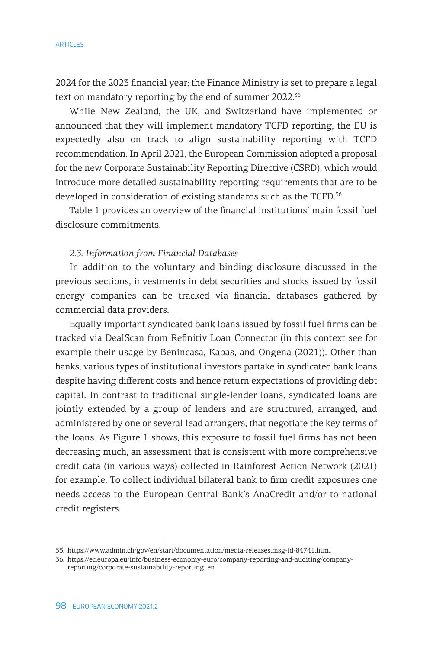2024 for the 2023 financial year; the Finance Ministry is set to prepare a legal text on mandatory reporting by the end of summer 2022.<sup>35</sup>

While New Zealand, the UK, and Switzerland have implemented or announced that they will implement mandatory TCFD reporting, the EU is expectedly also on track to align sustainability reporting with TCFD recommendation. In April 2021, the European Commission adopted a proposal for the new Corporate Sustainability Reporting Directive (CSRD), which would introduce more detailed sustainability reporting requirements that are to be developed in consideration of existing standards such as the TCFD.<sup>36</sup>

Table 1 provides an overview of the financial institutions' main fossil fuel disclosure commitments.

### *2.3. Information from Financial Databases*

In addition to the voluntary and binding disclosure discussed in the previous sections, investments in debt securities and stocks issued by fossil energy companies can be tracked via financial databases gathered by commercial data providers.

Equally important syndicated bank loans issued by fossil fuel firms can be tracked via DealScan from Refinitiv Loan Connector (in this context see for example their usage by Benincasa, Kabas, and Ongena (2021)). Other than banks, various types of institutional investors partake in syndicated bank loans despite having different costs and hence return expectations of providing debt capital. In contrast to traditional single-lender loans, syndicated loans are jointly extended by a group of lenders and are structured, arranged, and administered by one or several lead arrangers, that negotiate the key terms of the loans. As Figure 1 shows, this exposure to fossil fuel firms has not been decreasing much, an assessment that is consistent with more comprehensive credit data (in various ways) collected in Rainforest Action Network (2021) for example. To collect individual bilateral bank to firm credit exposures one needs access to the European Central Bank's AnaCredit and/or to national credit registers.

<sup>35.</sup> https://www.admin.ch/gov/en/start/documentation/media-releases.msg-id-84741.html

<sup>36.</sup> https://ec.europa.eu/info/business-economy-euro/company-reporting-and-auditing/companyreporting/corporate-sustainability-reporting\_en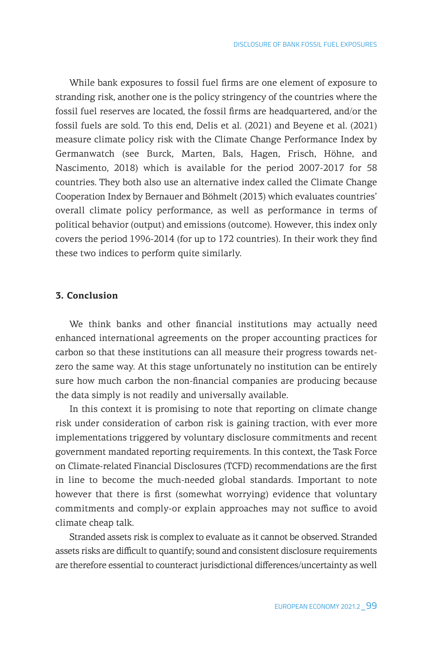While bank exposures to fossil fuel firms are one element of exposure to stranding risk, another one is the policy stringency of the countries where the fossil fuel reserves are located, the fossil firms are headquartered, and/or the fossil fuels are sold. To this end, Delis et al. (2021) and Beyene et al. (2021) measure climate policy risk with the Climate Change Performance Index by Germanwatch (see Burck, Marten, Bals, Hagen, Frisch, Höhne, and Nascimento, 2018) which is available for the period 2007-2017 for 58 countries. They both also use an alternative index called the Climate Change Cooperation Index by Bernauer and Böhmelt (2013) which evaluates countries' overall climate policy performance, as well as performance in terms of political behavior (output) and emissions (outcome). However, this index only covers the period 1996-2014 (for up to 172 countries). In their work they find these two indices to perform quite similarly.

### **3. Conclusion**

We think banks and other financial institutions may actually need enhanced international agreements on the proper accounting practices for carbon so that these institutions can all measure their progress towards netzero the same way. At this stage unfortunately no institution can be entirely sure how much carbon the non-financial companies are producing because the data simply is not readily and universally available.

In this context it is promising to note that reporting on climate change risk under consideration of carbon risk is gaining traction, with ever more implementations triggered by voluntary disclosure commitments and recent government mandated reporting requirements. In this context, the Task Force on Climate-related Financial Disclosures (TCFD) recommendations are the first in line to become the much-needed global standards. Important to note however that there is first (somewhat worrying) evidence that voluntary commitments and comply-or explain approaches may not suffice to avoid climate cheap talk.

Stranded assets risk is complex to evaluate as it cannot be observed. Stranded assets risks are difficult to quantify; sound and consistent disclosure requirements are therefore essential to counteract jurisdictional differences/uncertainty as well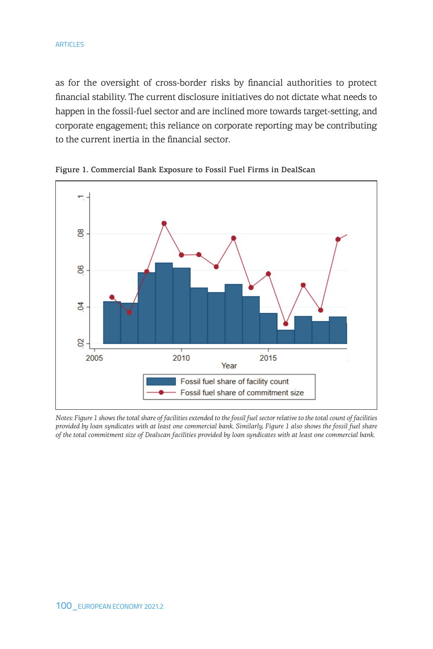as for the oversight of cross-border risks by financial authorities to protect financial stability. The current disclosure initiatives do not dictate what needs to happen in the fossil-fuel sector and are inclined more towards target-setting, and corporate engagement; this reliance on corporate reporting may be contributing to the current inertia in the financial sector.



Figure 1. Commercial Bank Exposure to Fossil Fuel Firms in DealScan **Figure 1. Commercial Bank Exposure to Fossil Fuel Firms in DealScan** 

*Notes: Figure 1 shows the total share of facilities extended to the fossil fuel sector relative to the total count of facilities provided by loan syndicates with at least one commercial bank. Similarly, Figure 1 also shows the fossil fuel share of the total commitment size of Dealscan facilities provided by loan syndicates with at least one commercial bank.*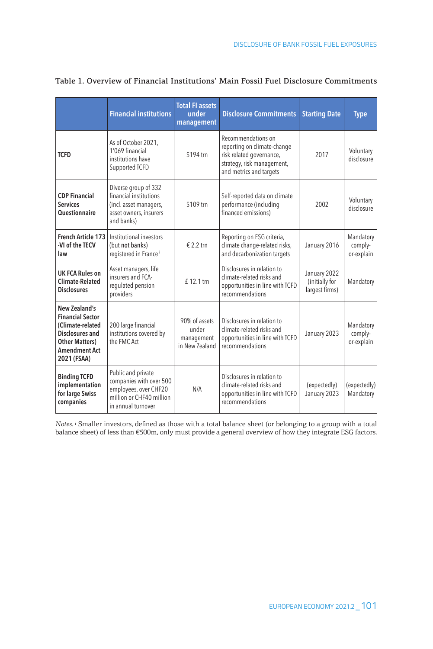|                                                                                                                                                  | <b>Financial institutions</b>                                                                                            | <b>Total FI assets</b><br>under<br>management          | <b>Disclosure Commitments</b>                                                                                                          | <b>Starting Date</b>                             | <b>Type</b>                        |
|--------------------------------------------------------------------------------------------------------------------------------------------------|--------------------------------------------------------------------------------------------------------------------------|--------------------------------------------------------|----------------------------------------------------------------------------------------------------------------------------------------|--------------------------------------------------|------------------------------------|
| <b>TCFD</b>                                                                                                                                      | As of October 2021,<br>1'069 financial<br>institutions have<br>Supported TCFD                                            | \$194 trn                                              | Recommendations on<br>reporting on climate-change<br>risk related governance,<br>strategy, risk management,<br>and metrics and targets | 2017                                             | Voluntary<br>disclosure            |
| <b>CDP Financial</b><br><b>Services</b><br><b>Questionnaire</b>                                                                                  | Diverse group of 332<br>financial institutions<br>(incl. asset managers,<br>asset owners, insurers<br>and banks)         | \$109 trn                                              | Self-reported data on climate<br>performance (including<br>financed emissions)                                                         | 2002                                             | Voluntary<br>disclosure            |
| <b>French Article 173</b><br>-VI of the TECV<br>law                                                                                              | Institutional investors<br>(but not banks)<br>registered in France <sup>i</sup>                                          | € 2.2 trn                                              | Reporting on ESG criteria,<br>climate change-related risks,<br>and decarbonization targets                                             | January 2016                                     | Mandatory<br>comply-<br>or-explain |
| <b>UK FCA Rules on</b><br><b>Climate-Related</b><br><b>Disclosures</b>                                                                           | Asset managers, life<br>insurers and FCA-<br>regulated pension<br>providers                                              | £ 12.1 trn                                             | Disclosures in relation to<br>climate-related risks and<br>opportunities in line with TCFD<br>recommendations                          | January 2022<br>(initially for<br>largest firms) | Mandatory                          |
| New Zealand's<br><b>Financial Sector</b><br>(Climate-related<br>Disclosures and<br><b>Other Matters</b> )<br><b>Amendment Act</b><br>2021 (FSAA) | 200 large financial<br>institutions covered by<br>the FMC Act                                                            | 90% of assets<br>under<br>management<br>in New Zealand | Disclosures in relation to<br>climate-related risks and<br>opportunities in line with TCFD<br>recommendations                          | January 2023                                     | Mandatory<br>comply-<br>or-explain |
| <b>Binding TCFD</b><br>implementation<br>for large Swiss<br>companies                                                                            | Public and private<br>companies with over 500<br>employees, over CHF20<br>million or CHF40 million<br>in annual turnover | N/A                                                    | Disclosures in relation to<br>climate-related risks and<br>opportunities in line with TCFD<br>recommendations                          | (expectedly)<br>January 2023                     | (expectedly)<br>Mandatory          |

### Table 1. Overview of Financial Institutions' Main Fossil Fuel Disclosure Commitments

*Notes.* <sup>i</sup> Smaller investors, defined as those with a total balance sheet (or belonging to a group with a total balance sheet) of less than €500m, only must provide a general overview of how they integrate ESG factors.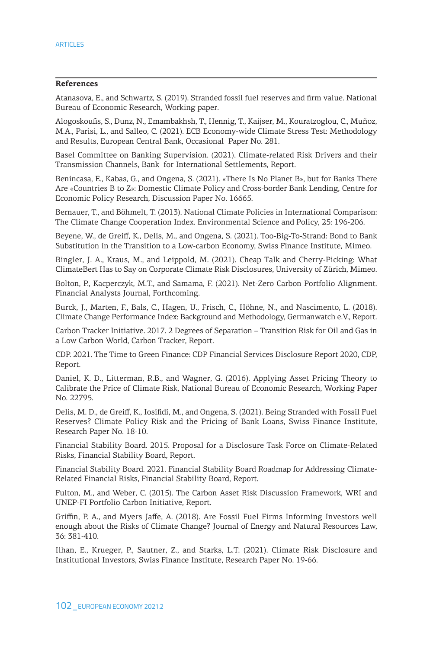### **References**

Atanasova, E., and Schwartz, S. (2019). Stranded fossil fuel reserves and firm value. National Bureau of Economic Research, Working paper.

Alogoskoufis, S., Dunz, N., Emambakhsh, T., Hennig, T., Kaijser, M., Kouratzoglou, C., Muñoz, M.A., Parisi, L., and Salleo, C. (2021). ECB Economy-wide Climate Stress Test: Methodology and Results, European Central Bank, Occasional Paper No. 281.

Basel Committee on Banking Supervision. (2021). Climate-related Risk Drivers and their Transmission Channels, Bank for International Settlements, Report.

Benincasa, E., Kabas, G., and Ongena, S. (2021). «There Is No Planet B», but for Banks There Are «Countries B to Z»: Domestic Climate Policy and Cross-border Bank Lending, Centre for Economic Policy Research, Discussion Paper No. 16665.

Bernauer, T., and Böhmelt, T. (2013). National Climate Policies in International Comparison: The Climate Change Cooperation Index. Environmental Science and Policy, 25: 196-206.

Beyene, W., de Greiff, K., Delis, M., and Ongena, S. (2021). Too-Big-To-Strand: Bond to Bank Substitution in the Transition to a Low-carbon Economy, Swiss Finance Institute, Mimeo.

Bingler, J. A., Kraus, M., and Leippold, M. (2021). Cheap Talk and Cherry-Picking: What ClimateBert Has to Say on Corporate Climate Risk Disclosures, University of Zürich, Mimeo.

Bolton, P., Kacperczyk, M.T., and Samama, F. (2021). Net-Zero Carbon Portfolio Alignment. Financial Analysts Journal, Forthcoming.

Burck, J., Marten, F., Bals, C., Hagen, U., Frisch, C., Höhne, N., and Nascimento, L. (2018). Climate Change Performance Index: Background and Methodology, Germanwatch e.V., Report.

Carbon Tracker Initiative. 2017. 2 Degrees of Separation – Transition Risk for Oil and Gas in a Low Carbon World, Carbon Tracker, Report.

CDP. 2021. The Time to Green Finance: CDP Financial Services Disclosure Report 2020, CDP, Report.

Daniel, K. D., Litterman, R.B., and Wagner, G. (2016). Applying Asset Pricing Theory to Calibrate the Price of Climate Risk, National Bureau of Economic Research, Working Paper No. 22795.

Delis, M. D., de Greiff, K., Iosifidi, M., and Ongena, S. (2021). Being Stranded with Fossil Fuel Reserves? Climate Policy Risk and the Pricing of Bank Loans, Swiss Finance Institute, Research Paper No. 18-10.

Financial Stability Board. 2015. Proposal for a Disclosure Task Force on Climate-Related Risks, Financial Stability Board, Report.

Financial Stability Board. 2021. Financial Stability Board Roadmap for Addressing Climate-Related Financial Risks, Financial Stability Board, Report.

Fulton, M., and Weber, C. (2015). The Carbon Asset Risk Discussion Framework, WRI and UNEP-FI Portfolio Carbon Initiative, Report.

Griffin, P. A., and Myers Jaffe, A. (2018). Are Fossil Fuel Firms Informing Investors well enough about the Risks of Climate Change? Journal of Energy and Natural Resources Law, 36: 381-410.

Ilhan, E., Krueger, P., Sautner, Z., and Starks, L.T. (2021). Climate Risk Disclosure and Institutional Investors, Swiss Finance Institute, Research Paper No. 19-66.